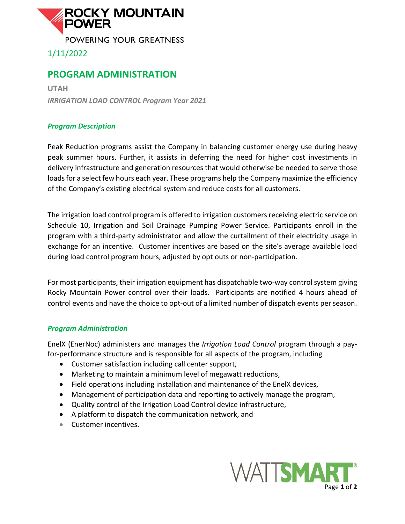

1/11/2022

## **PROGRAM ADMINISTRATION**

**UTAH** *IRRIGATION LOAD CONTROL Program Year 2021*

## *Program Description*

Peak Reduction programs assist the Company in balancing customer energy use during heavy peak summer hours. Further, it assists in deferring the need for higher cost investments in delivery infrastructure and generation resources that would otherwise be needed to serve those loads for a select few hours each year. These programs help the Company maximize the efficiency of the Company's existing electrical system and reduce costs for all customers.

The irrigation load control program is offered to irrigation customers receiving electric service on Schedule 10, Irrigation and Soil Drainage Pumping Power Service. Participants enroll in the program with a third-party administrator and allow the curtailment of their electricity usage in exchange for an incentive. Customer incentives are based on the site's average available load during load control program hours, adjusted by opt outs or non-participation.

For most participants, their irrigation equipment has dispatchable two-way control system giving Rocky Mountain Power control over their loads. Participants are notified 4 hours ahead of control events and have the choice to opt-out of a limited number of dispatch events per season.

## *Program Administration*

EnelX (EnerNoc) administers and manages the *Irrigation Load Control* program through a payfor-performance structure and is responsible for all aspects of the program, including

- Customer satisfaction including call center support,
- Marketing to maintain a minimum level of megawatt reductions,
- Field operations including installation and maintenance of the EnelX devices,
- Management of participation data and reporting to actively manage the program,
- Quality control of the Irrigation Load Control device infrastructure,
- A platform to dispatch the communication network, and
- Customer incentives.